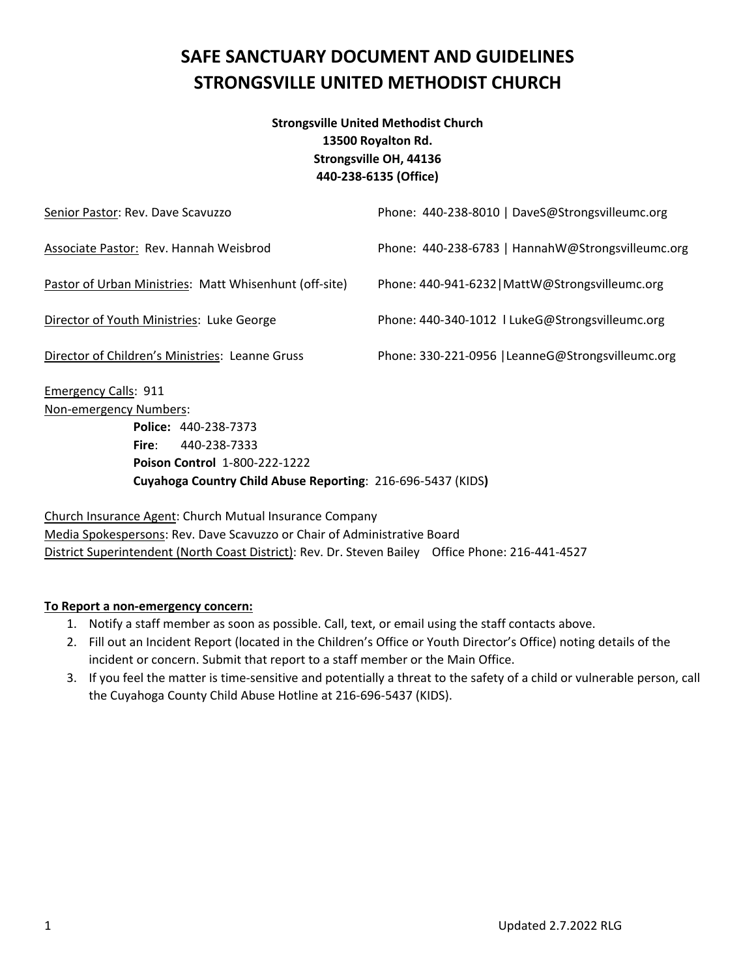# **SAFE SANCTUARY DOCUMENT AND GUIDELINES STRONGSVILLE UNITED METHODIST CHURCH**

### **Strongsville United Methodist Church 13500 Royalton Rd. Strongsville OH, 44136 440‐238‐6135 (Office)**

| Senior Pastor: Rev. Dave Scavuzzo                      | Phone: 440-238-8010   DaveS@Strongsvilleumc.org   |
|--------------------------------------------------------|---------------------------------------------------|
| Associate Pastor: Rev. Hannah Weisbrod                 | Phone: 440-238-6783   HannahW@Strongsvilleumc.org |
| Pastor of Urban Ministries: Matt Whisenhunt (off-site) | Phone: 440-941-6232   MattW@Strongsvilleumc.org   |
| Director of Youth Ministries: Luke George              | Phone: 440-340-1012   LukeG@Strongsvilleumc.org   |
| Director of Children's Ministries: Leanne Gruss        | Phone: 330-221-0956   LeanneG@Strongsvilleumc.org |
|                                                        |                                                   |

Emergency Calls: 911 Non‐emergency Numbers:

 **Police:** 440‐238‐7373 **Fire**: 440‐238‐7333 **Poison Control** 1‐800‐222‐1222 **Cuyahoga Country Child Abuse Reporting**: 216‐696‐5437 (KIDS**)**

Church Insurance Agent: Church Mutual Insurance Company Media Spokespersons: Rev. Dave Scavuzzo or Chair of Administrative Board District Superintendent (North Coast District): Rev. Dr. Steven Bailey Office Phone: 216‐441‐4527

### **To Report a non‐emergency concern:**

- 1. Notify a staff member as soon as possible. Call, text, or email using the staff contacts above.
- 2. Fill out an Incident Report (located in the Children's Office or Youth Director's Office) noting details of the incident or concern. Submit that report to a staff member or the Main Office.
- 3. If you feel the matter is time‐sensitive and potentially a threat to the safety of a child or vulnerable person, call the Cuyahoga County Child Abuse Hotline at 216‐696‐5437 (KIDS).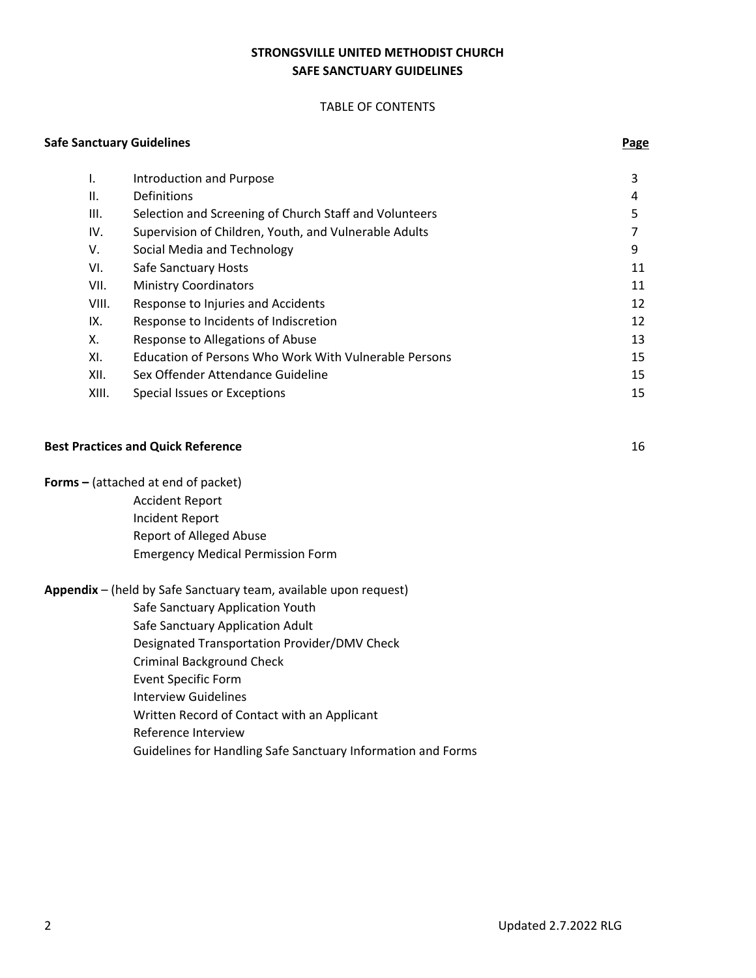#### **STRONGSVILLE UNITED METHODIST CHURCH SAFE SANCTUARY GUIDELINES**

#### TABLE OF CONTENTS

#### **Safe Sanctuary Guidelines Page**

| I.    | <b>Introduction and Purpose</b>                              | 3  |
|-------|--------------------------------------------------------------|----|
| ΙΙ.   | Definitions                                                  | 4  |
| III.  | Selection and Screening of Church Staff and Volunteers       | 5  |
| IV.   | Supervision of Children, Youth, and Vulnerable Adults        |    |
| V.    | Social Media and Technology                                  | 9  |
| VI.   | Safe Sanctuary Hosts                                         | 11 |
| VII.  | <b>Ministry Coordinators</b>                                 | 11 |
| VIII. | Response to Injuries and Accidents                           | 12 |
| IX.   | Response to Incidents of Indiscretion                        | 12 |
| Х.    | Response to Allegations of Abuse                             | 13 |
| XI.   | <b>Education of Persons Who Work With Vulnerable Persons</b> | 15 |
| XII.  | Sex Offender Attendance Guideline                            | 15 |
| XIII. | Special Issues or Exceptions                                 | 15 |

#### **Best Practices and Quick Reference** 16

**Forms –** (attached at end of packet)

 Accident Report Incident Report Report of Alleged Abuse Emergency Medical Permission Form

#### **Appendix** – (held by Safe Sanctuary team, available upon request)

Safe Sanctuary Application Youth

Safe Sanctuary Application Adult

Designated Transportation Provider/DMV Check

Criminal Background Check

Event Specific Form

Interview Guidelines

Written Record of Contact with an Applicant

Reference Interview

Guidelines for Handling Safe Sanctuary Information and Forms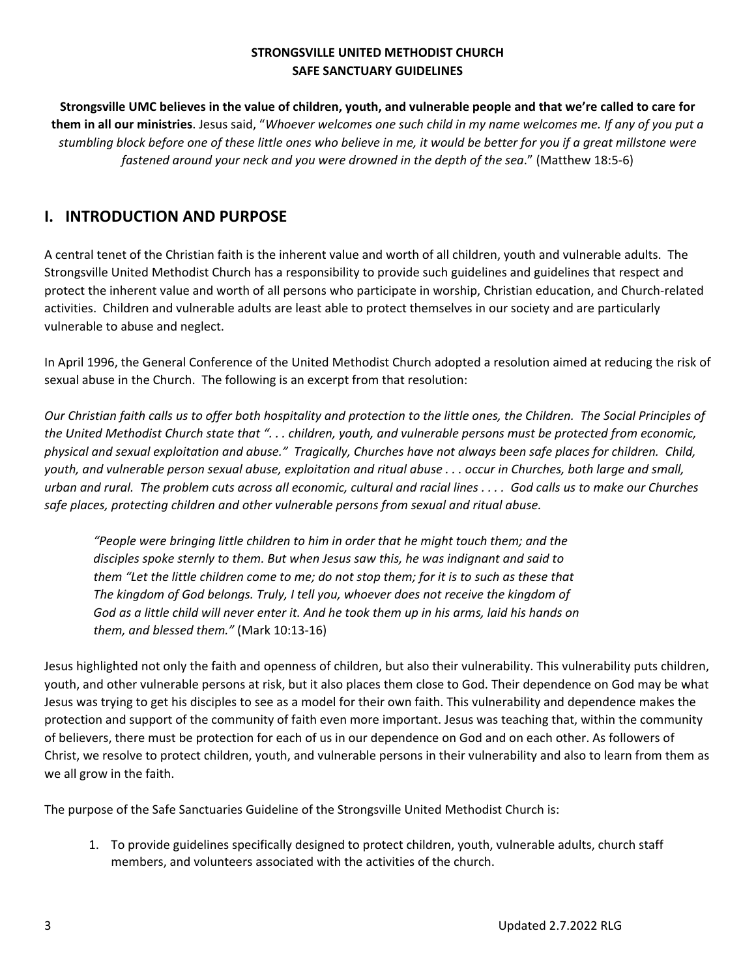### **STRONGSVILLE UNITED METHODIST CHURCH SAFE SANCTUARY GUIDELINES**

Strongsville UMC believes in the value of children, youth, and vulnerable people and that we're called to care for them in all our ministries. Jesus said, "Whoever welcomes one such child in my name welcomes me. If any of you put a stumbling block before one of these little ones who believe in me, it would be better for you if a great millstone were *fastened around your neck and you were drowned in the depth of the sea*." (Matthew 18:5‐6)

### **I. INTRODUCTION AND PURPOSE**

A central tenet of the Christian faith is the inherent value and worth of all children, youth and vulnerable adults. The Strongsville United Methodist Church has a responsibility to provide such guidelines and guidelines that respect and protect the inherent value and worth of all persons who participate in worship, Christian education, and Church‐related activities. Children and vulnerable adults are least able to protect themselves in our society and are particularly vulnerable to abuse and neglect.

In April 1996, the General Conference of the United Methodist Church adopted a resolution aimed at reducing the risk of sexual abuse in the Church. The following is an excerpt from that resolution:

Our Christian faith calls us to offer both hospitality and protection to the little ones, the Children. The Social Principles of the United Methodist Church state that "...children, youth, and vulnerable persons must be protected from economic, physical and sexual exploitation and abuse." Tragically, Churches have not always been safe places for children. Child, youth, and vulnerable person sexual abuse, exploitation and ritual abuse . . . occur in Churches, both large and small, urban and rural. The problem cuts across all economic, cultural and racial lines .... God calls us to make our Churches *safe places, protecting children and other vulnerable persons from sexual and ritual abuse.*

 *"People were bringing little children to him in order that he might touch them; and the disciples spoke sternly to them. But when Jesus saw this, he was indignant and said to* them "Let the little children come to me; do not stop them; for it is to such as these that The kingdom of God belongs. Truly, I tell you, whoever does not receive the kingdom of God as a little child will never enter it. And he took them up in his arms, laid his hands on  *them, and blessed them."* (Mark 10:13‐16)

Jesus highlighted not only the faith and openness of children, but also their vulnerability. This vulnerability puts children, youth, and other vulnerable persons at risk, but it also places them close to God. Their dependence on God may be what Jesus was trying to get his disciples to see as a model for their own faith. This vulnerability and dependence makes the protection and support of the community of faith even more important. Jesus was teaching that, within the community of believers, there must be protection for each of us in our dependence on God and on each other. As followers of Christ, we resolve to protect children, youth, and vulnerable persons in their vulnerability and also to learn from them as we all grow in the faith.

The purpose of the Safe Sanctuaries Guideline of the Strongsville United Methodist Church is:

1. To provide guidelines specifically designed to protect children, youth, vulnerable adults, church staff members, and volunteers associated with the activities of the church.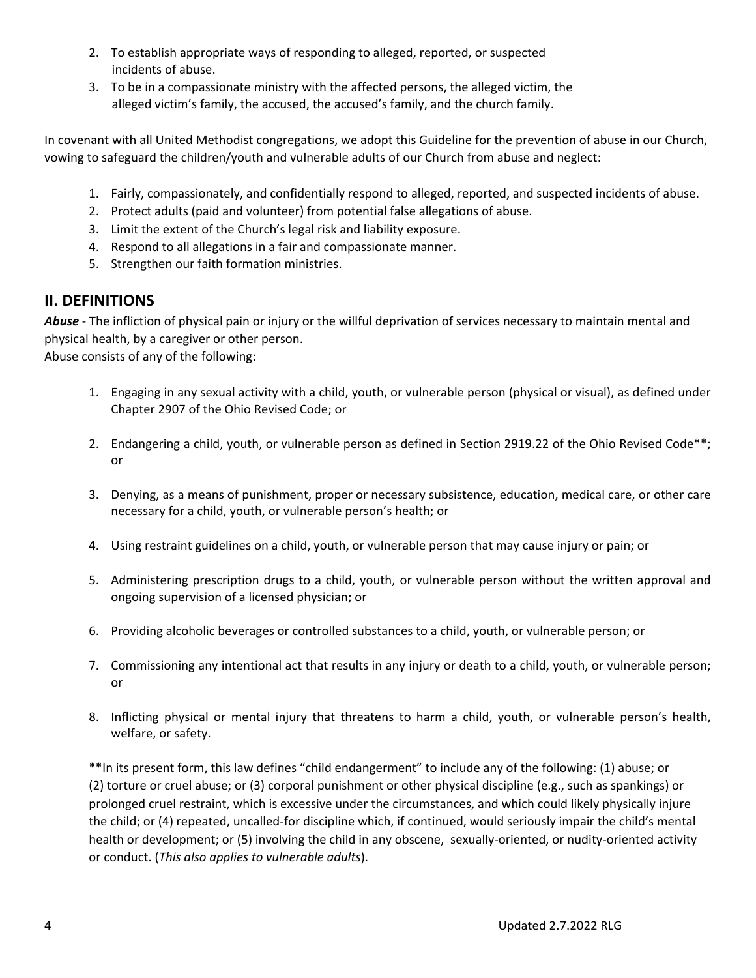- 2. To establish appropriate ways of responding to alleged, reported, or suspected incidents of abuse.
- 3. To be in a compassionate ministry with the affected persons, the alleged victim, the alleged victim's family, the accused, the accused's family, and the church family.

In covenant with all United Methodist congregations, we adopt this Guideline for the prevention of abuse in our Church, vowing to safeguard the children/youth and vulnerable adults of our Church from abuse and neglect:

- 1. Fairly, compassionately, and confidentially respond to alleged, reported, and suspected incidents of abuse.
- 2. Protect adults (paid and volunteer) from potential false allegations of abuse.
- 3. Limit the extent of the Church's legal risk and liability exposure.
- 4. Respond to all allegations in a fair and compassionate manner.
- 5. Strengthen our faith formation ministries.

### **II. DEFINITIONS**

*Abuse* ‐ The infliction of physical pain or injury or the willful deprivation of services necessary to maintain mental and physical health, by a caregiver or other person. Abuse consists of any of the following:

- 1. Engaging in any sexual activity with a child, youth, or vulnerable person (physical or visual), as defined under Chapter 2907 of the Ohio Revised Code; or
- 2. Endangering a child, youth, or vulnerable person as defined in Section 2919.22 of the Ohio Revised Code\*\*; or
- 3. Denying, as a means of punishment, proper or necessary subsistence, education, medical care, or other care necessary for a child, youth, or vulnerable person's health; or
- 4. Using restraint guidelines on a child, youth, or vulnerable person that may cause injury or pain; or
- 5. Administering prescription drugs to a child, youth, or vulnerable person without the written approval and ongoing supervision of a licensed physician; or
- 6. Providing alcoholic beverages or controlled substances to a child, youth, or vulnerable person; or
- 7. Commissioning any intentional act that results in any injury or death to a child, youth, or vulnerable person; or
- 8. Inflicting physical or mental injury that threatens to harm a child, youth, or vulnerable person's health, welfare, or safety.

\*\*In its present form, this law defines "child endangerment" to include any of the following: (1) abuse; or (2) torture or cruel abuse; or (3) corporal punishment or other physical discipline (e.g., such as spankings) or prolonged cruel restraint, which is excessive under the circumstances, and which could likely physically injure the child; or (4) repeated, uncalled‐for discipline which, if continued, would seriously impair the child's mental health or development; or (5) involving the child in any obscene, sexually-oriented, or nudity-oriented activity or conduct. (*This also applies to vulnerable adults*).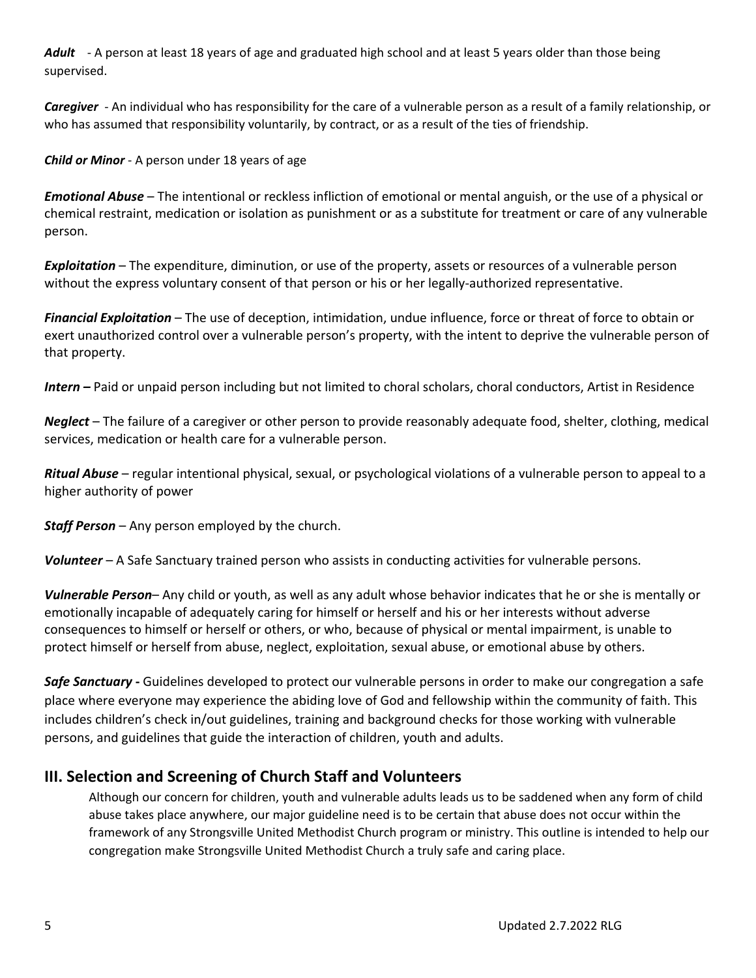Adult - A person at least 18 years of age and graduated high school and at least 5 years older than those being supervised.

*Caregiver* ‐ An individual who has responsibility for the care of a vulnerable person as a result of a family relationship, or who has assumed that responsibility voluntarily, by contract, or as a result of the ties of friendship.

*Child or Minor* ‐ A person under 18 years of age

*Emotional Abuse* – The intentional or reckless infliction of emotional or mental anguish, or the use of a physical or chemical restraint, medication or isolation as punishment or as a substitute for treatment or care of any vulnerable person.

*Exploitation* – The expenditure, diminution, or use of the property, assets or resources of a vulnerable person without the express voluntary consent of that person or his or her legally-authorized representative.

*Financial Exploitation* – The use of deception, intimidation, undue influence, force or threat of force to obtain or exert unauthorized control over a vulnerable person's property, with the intent to deprive the vulnerable person of that property.

*Intern –* Paid or unpaid person including but not limited to choral scholars, choral conductors, Artist in Residence

*Neglect* – The failure of a caregiver or other person to provide reasonably adequate food, shelter, clothing, medical services, medication or health care for a vulnerable person.

*Ritual Abuse* – regular intentional physical, sexual, or psychological violations of a vulnerable person to appeal to a higher authority of power

*Staff Person* – Any person employed by the church.

*Volunteer* – A Safe Sanctuary trained person who assists in conducting activities for vulnerable persons.

*Vulnerable Person*– Any child or youth, as well as any adult whose behavior indicates that he or she is mentally or emotionally incapable of adequately caring for himself or herself and his or her interests without adverse consequences to himself or herself or others, or who, because of physical or mental impairment, is unable to protect himself or herself from abuse, neglect, exploitation, sexual abuse, or emotional abuse by others.

**Safe Sanctuary** - Guidelines developed to protect our vulnerable persons in order to make our congregation a safe place where everyone may experience the abiding love of God and fellowship within the community of faith. This includes children's check in/out guidelines, training and background checks for those working with vulnerable persons, and guidelines that guide the interaction of children, youth and adults.

### **III. Selection and Screening of Church Staff and Volunteers**

Although our concern for children, youth and vulnerable adults leads us to be saddened when any form of child abuse takes place anywhere, our major guideline need is to be certain that abuse does not occur within the framework of any Strongsville United Methodist Church program or ministry. This outline is intended to help our congregation make Strongsville United Methodist Church a truly safe and caring place.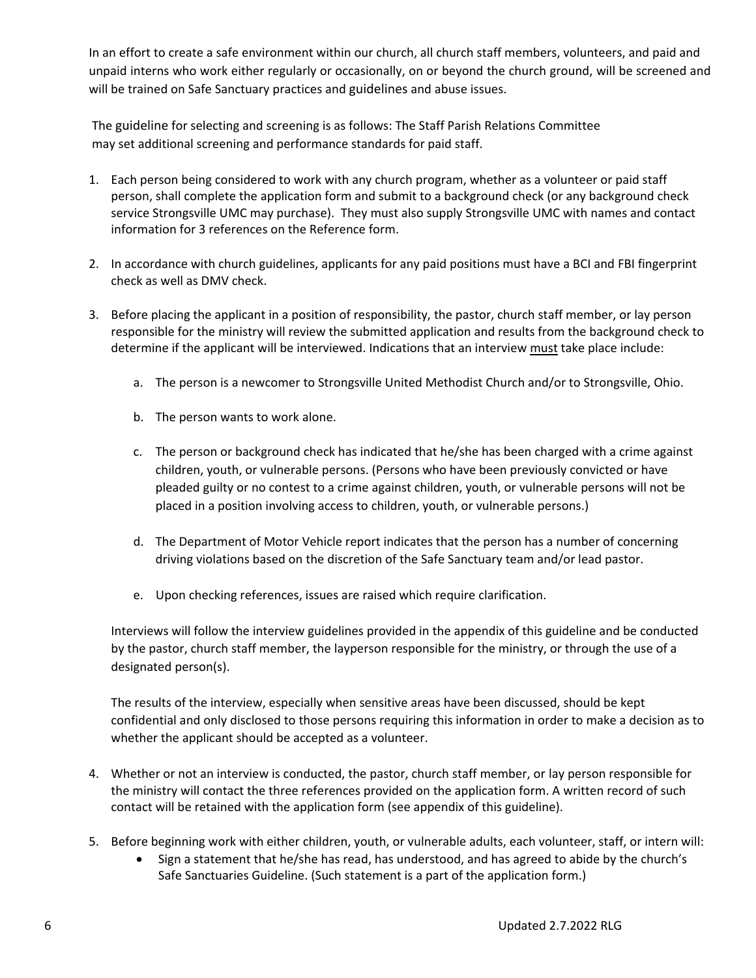In an effort to create a safe environment within our church, all church staff members, volunteers, and paid and unpaid interns who work either regularly or occasionally, on or beyond the church ground, will be screened and will be trained on Safe Sanctuary practices and guidelines and abuse issues.

The guideline for selecting and screening is as follows: The Staff Parish Relations Committee may set additional screening and performance standards for paid staff.

- 1. Each person being considered to work with any church program, whether as a volunteer or paid staff person, shall complete the application form and submit to a background check (or any background check service Strongsville UMC may purchase). They must also supply Strongsville UMC with names and contact information for 3 references on the Reference form.
- 2. In accordance with church guidelines, applicants for any paid positions must have a BCI and FBI fingerprint check as well as DMV check.
- 3. Before placing the applicant in a position of responsibility, the pastor, church staff member, or lay person responsible for the ministry will review the submitted application and results from the background check to determine if the applicant will be interviewed. Indications that an interview must take place include:
	- a. The person is a newcomer to Strongsville United Methodist Church and/or to Strongsville, Ohio.
	- b. The person wants to work alone.
	- c. The person or background check has indicated that he/she has been charged with a crime against children, youth, or vulnerable persons. (Persons who have been previously convicted or have pleaded guilty or no contest to a crime against children, youth, or vulnerable persons will not be placed in a position involving access to children, youth, or vulnerable persons.)
	- d. The Department of Motor Vehicle report indicates that the person has a number of concerning driving violations based on the discretion of the Safe Sanctuary team and/or lead pastor.
	- e. Upon checking references, issues are raised which require clarification.

Interviews will follow the interview guidelines provided in the appendix of this guideline and be conducted by the pastor, church staff member, the layperson responsible for the ministry, or through the use of a designated person(s).

The results of the interview, especially when sensitive areas have been discussed, should be kept confidential and only disclosed to those persons requiring this information in order to make a decision as to whether the applicant should be accepted as a volunteer.

- 4. Whether or not an interview is conducted, the pastor, church staff member, or lay person responsible for the ministry will contact the three references provided on the application form. A written record of such contact will be retained with the application form (see appendix of this guideline).
- 5. Before beginning work with either children, youth, or vulnerable adults, each volunteer, staff, or intern will:
	- Sign a statement that he/she has read, has understood, and has agreed to abide by the church's Safe Sanctuaries Guideline. (Such statement is a part of the application form.)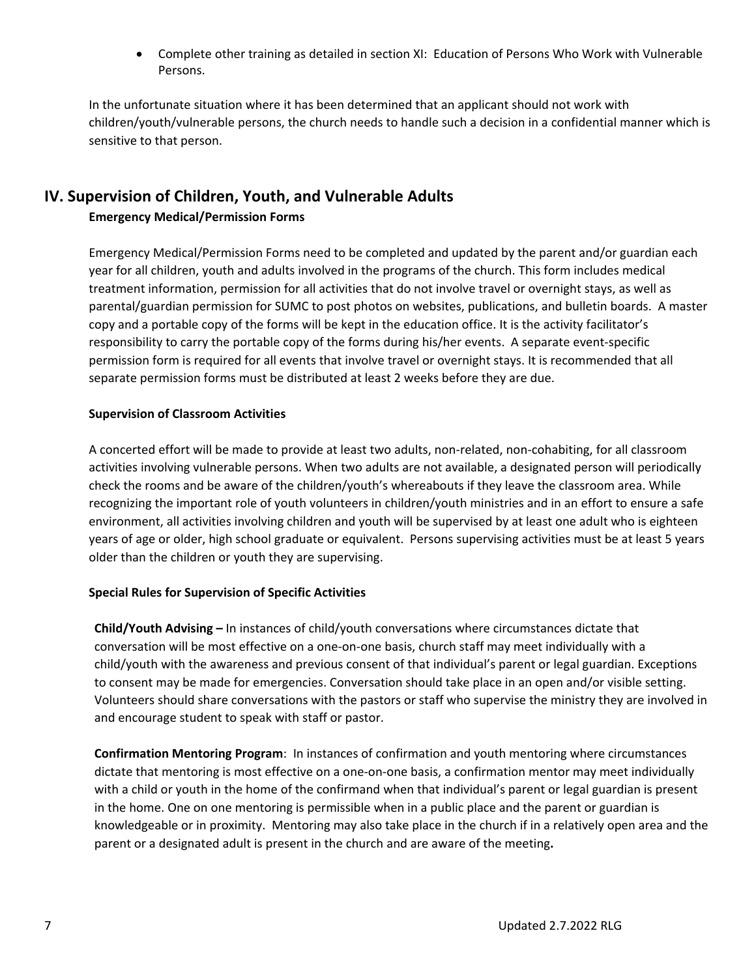Complete other training as detailed in section XI: Education of Persons Who Work with Vulnerable Persons.

In the unfortunate situation where it has been determined that an applicant should not work with children/youth/vulnerable persons, the church needs to handle such a decision in a confidential manner which is sensitive to that person.

### **IV. Supervision of Children, Youth, and Vulnerable Adults**

### **Emergency Medical/Permission Forms**

Emergency Medical/Permission Forms need to be completed and updated by the parent and/or guardian each year for all children, youth and adults involved in the programs of the church. This form includes medical treatment information, permission for all activities that do not involve travel or overnight stays, as well as parental/guardian permission for SUMC to post photos on websites, publications, and bulletin boards.A master copy and a portable copy of the forms will be kept in the education office. It is the activity facilitator's responsibility to carry the portable copy of the forms during his/her events. A separate event-specific permission form is required for all events that involve travel or overnight stays. It is recommended that all separate permission forms must be distributed at least 2 weeks before they are due.

### **Supervision of Classroom Activities**

A concerted effort will be made to provide at least two adults, non‐related, non‐cohabiting, for all classroom activities involving vulnerable persons. When two adults are not available, a designated person will periodically check the rooms and be aware of the children/youth's whereabouts if they leave the classroom area. While recognizing the important role of youth volunteers in children/youth ministries and in an effort to ensure a safe environment, all activities involving children and youth will be supervised by at least one adult who is eighteen years of age or older, high school graduate or equivalent. Persons supervising activities must be at least 5 years older than the children or youth they are supervising.

### **Special Rules for Supervision of Specific Activities**

**Child/Youth Advising –** In instances of child/youth conversations where circumstances dictate that conversation will be most effective on a one‐on‐one basis, church staff may meet individually with a child/youth with the awareness and previous consent of that individual's parent or legal guardian. Exceptions to consent may be made for emergencies. Conversation should take place in an open and/or visible setting. Volunteers should share conversations with the pastors or staff who supervise the ministry they are involved in and encourage student to speak with staff or pastor.

**Confirmation Mentoring Program**: In instances of confirmation and youth mentoring where circumstances dictate that mentoring is most effective on a one‐on‐one basis, a confirmation mentor may meet individually with a child or youth in the home of the confirmand when that individual's parent or legal guardian is present in the home. One on one mentoring is permissible when in a public place and the parent or guardian is knowledgeable or in proximity. Mentoring may also take place in the church if in a relatively open area and the parent or a designated adult is present in the church and are aware of the meeting**.**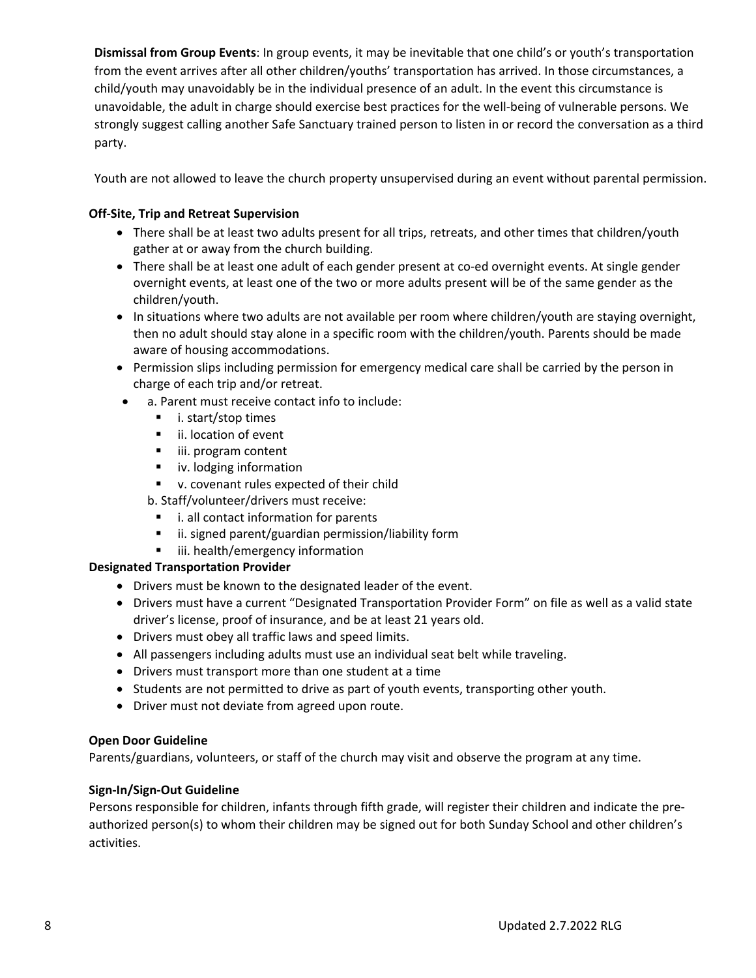**Dismissal from Group Events**: In group events, it may be inevitable that one child's or youth's transportation from the event arrives after all other children/youths' transportation has arrived. In those circumstances, a child/youth may unavoidably be in the individual presence of an adult. In the event this circumstance is unavoidable, the adult in charge should exercise best practices for the well‐being of vulnerable persons. We strongly suggest calling another Safe Sanctuary trained person to listen in or record the conversation as a third party.

Youth are not allowed to leave the church property unsupervised during an event without parental permission.

### **Off‐Site, Trip and Retreat Supervision**

- There shall be at least two adults present for all trips, retreats, and other times that children/youth gather at or away from the church building.
- There shall be at least one adult of each gender present at co-ed overnight events. At single gender overnight events, at least one of the two or more adults present will be of the same gender as the children/youth.
- In situations where two adults are not available per room where children/youth are staying overnight, then no adult should stay alone in a specific room with the children/youth. Parents should be made aware of housing accommodations.
- Permission slips including permission for emergency medical care shall be carried by the person in charge of each trip and/or retreat.
	- a. Parent must receive contact info to include:
		- i. start/stop times
		- **ii.** location of event
		- **iii.** program content
		- **I** iv. lodging information
		- v. covenant rules expected of their child

b. Staff/volunteer/drivers must receive:

- i. all contact information for parents
- ii. signed parent/guardian permission/liability form
- iii. health/emergency information

### **Designated Transportation Provider**

- Drivers must be known to the designated leader of the event.
- Drivers must have a current "Designated Transportation Provider Form" on file as well as a valid state driver's license, proof of insurance, and be at least 21 years old.
- Drivers must obey all traffic laws and speed limits.
- All passengers including adults must use an individual seat belt while traveling.
- Drivers must transport more than one student at a time
- Students are not permitted to drive as part of youth events, transporting other youth.
- Driver must not deviate from agreed upon route.

#### **Open Door Guideline**

Parents/guardians, volunteers, or staff of the church may visit and observe the program at any time.

#### **Sign‐In/Sign‐Out Guideline**

Persons responsible for children, infants through fifth grade, will register their children and indicate the pre‐ authorized person(s) to whom their children may be signed out for both Sunday School and other children's activities.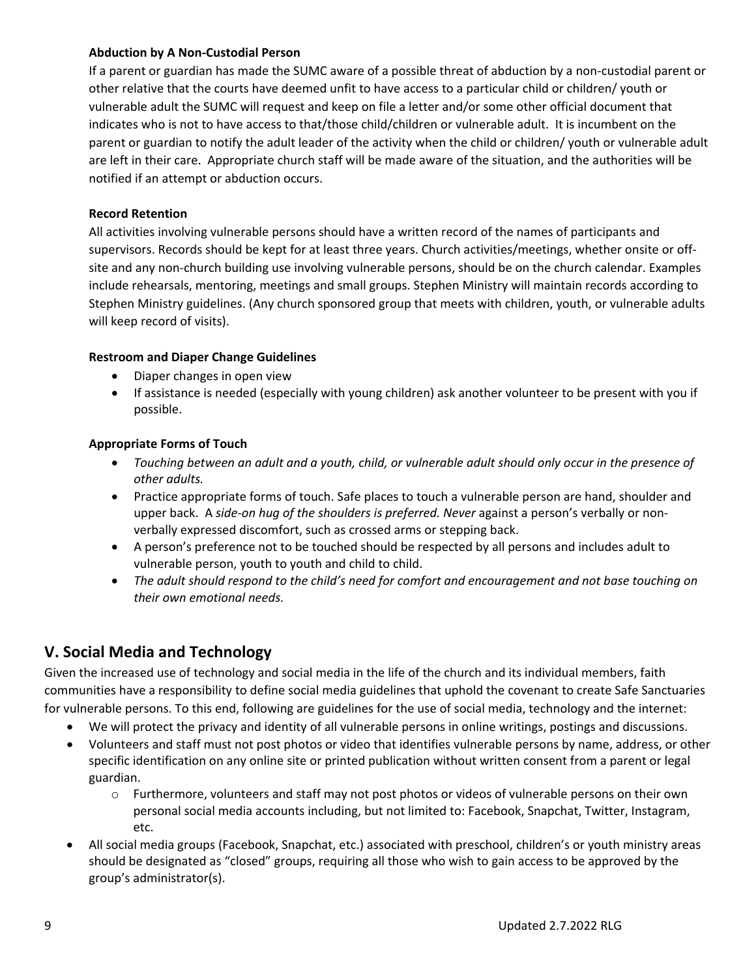#### **Abduction by A Non‐Custodial Person**

If a parent or guardian has made the SUMC aware of a possible threat of abduction by a non‐custodial parent or other relative that the courts have deemed unfit to have access to a particular child or children/ youth or vulnerable adult the SUMC will request and keep on file a letter and/or some other official document that indicates who is not to have access to that/those child/children or vulnerable adult. It is incumbent on the parent or guardian to notify the adult leader of the activity when the child or children/ youth or vulnerable adult are left in their care. Appropriate church staff will be made aware of the situation, and the authorities will be notified if an attempt or abduction occurs.

### **Record Retention**

All activities involving vulnerable persons should have a written record of the names of participants and supervisors. Records should be kept for at least three years. Church activities/meetings, whether onsite or off‐ site and any non-church building use involving vulnerable persons, should be on the church calendar. Examples include rehearsals, mentoring, meetings and small groups. Stephen Ministry will maintain records according to Stephen Ministry guidelines. (Any church sponsored group that meets with children, youth, or vulnerable adults will keep record of visits).

### **Restroom and Diaper Change Guidelines**

- Diaper changes in open view
- If assistance is needed (especially with young children) ask another volunteer to be present with you if possible.

### **Appropriate Forms of Touch**

- Touching between an adult and a youth, child, or vulnerable adult should only occur in the presence of *other adults.*
- Practice appropriate forms of touch. Safe places to touch a vulnerable person are hand, shoulder and upper back. A *side‐on hug of the shoulders is preferred. Never* against a person's verbally or non‐ verbally expressed discomfort, such as crossed arms or stepping back.
- A person's preference not to be touched should be respected by all persons and includes adult to vulnerable person, youth to youth and child to child.
- *The adult should respond to the child's need for comfort and encouragement and not base touching on their own emotional needs.*

### **V. Social Media and Technology**

Given the increased use of technology and social media in the life of the church and its individual members, faith communities have a responsibility to define social media guidelines that uphold the covenant to create Safe Sanctuaries for vulnerable persons. To this end, following are guidelines for the use of social media, technology and the internet:

- We will protect the privacy and identity of all vulnerable persons in online writings, postings and discussions.
- Volunteers and staff must not post photos or video that identifies vulnerable persons by name, address, or other specific identification on any online site or printed publication without written consent from a parent or legal guardian.
	- o Furthermore, volunteers and staff may not post photos or videos of vulnerable persons on their own personal social media accounts including, but not limited to: Facebook, Snapchat, Twitter, Instagram, etc.
- All social media groups (Facebook, Snapchat, etc.) associated with preschool, children's or youth ministry areas should be designated as "closed" groups, requiring all those who wish to gain access to be approved by the group's administrator(s).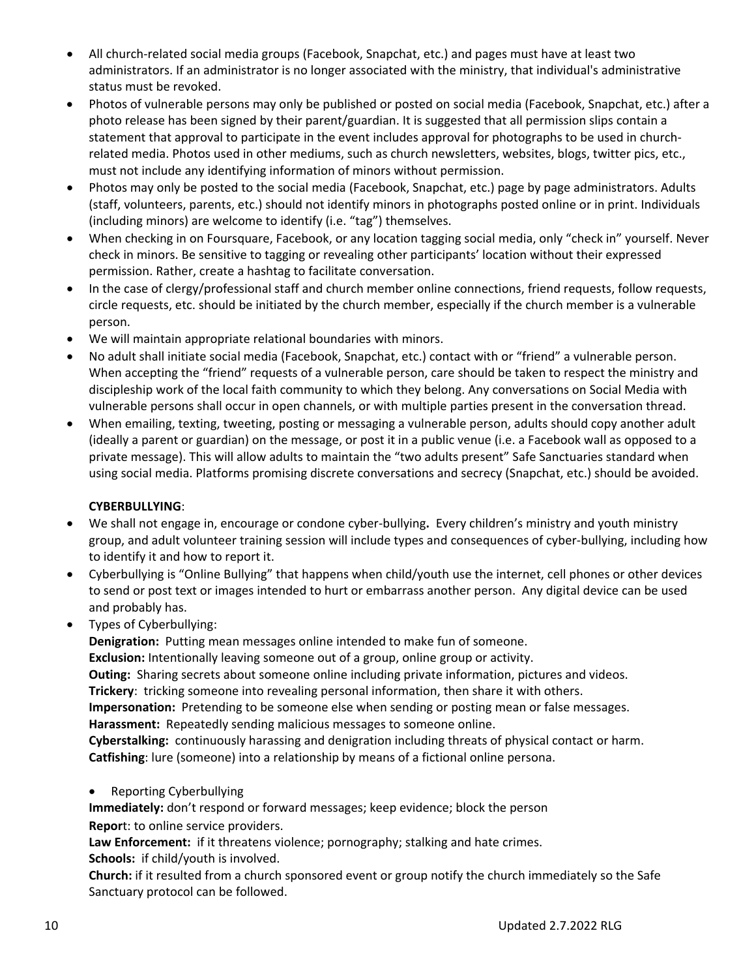- All church‐related social media groups (Facebook, Snapchat, etc.) and pages must have at least two administrators. If an administrator is no longer associated with the ministry, that individual's administrative status must be revoked.
- Photos of vulnerable persons may only be published or posted on social media (Facebook, Snapchat, etc.) after a photo release has been signed by their parent/guardian. It is suggested that all permission slips contain a statement that approval to participate in the event includes approval for photographs to be used in church‐ related media. Photos used in other mediums, such as church newsletters, websites, blogs, twitter pics, etc., must not include any identifying information of minors without permission.
- Photos may only be posted to the social media (Facebook, Snapchat, etc.) page by page administrators. Adults (staff, volunteers, parents, etc.) should not identify minors in photographs posted online or in print. Individuals (including minors) are welcome to identify (i.e. "tag") themselves.
- When checking in on Foursquare, Facebook, or any location tagging social media, only "check in" yourself. Never check in minors. Be sensitive to tagging or revealing other participants' location without their expressed permission. Rather, create a hashtag to facilitate conversation.
- In the case of clergy/professional staff and church member online connections, friend requests, follow requests, circle requests, etc. should be initiated by the church member, especially if the church member is a vulnerable person.
- We will maintain appropriate relational boundaries with minors.
- No adult shall initiate social media (Facebook, Snapchat, etc.) contact with or "friend" a vulnerable person. When accepting the "friend" requests of a vulnerable person, care should be taken to respect the ministry and discipleship work of the local faith community to which they belong. Any conversations on Social Media with vulnerable persons shall occur in open channels, or with multiple parties present in the conversation thread.
- When emailing, texting, tweeting, posting or messaging a vulnerable person, adults should copy another adult (ideally a parent or guardian) on the message, or post it in a public venue (i.e. a Facebook wall as opposed to a private message). This will allow adults to maintain the "two adults present" Safe Sanctuaries standard when using social media. Platforms promising discrete conversations and secrecy (Snapchat, etc.) should be avoided.

### **CYBERBULLYING**:

- We shall not engage in, encourage or condone cyber-bullying. Every children's ministry and youth ministry group, and adult volunteer training session will include types and consequences of cyber‐bullying, including how to identify it and how to report it.
- Cyberbullying is "Online Bullying" that happens when child/youth use the internet, cell phones or other devices to send or post text or images intended to hurt or embarrass another person. Any digital device can be used and probably has.
- Types of Cyberbullying:

**Denigration:** Putting mean messages online intended to make fun of someone.

**Exclusion:** Intentionally leaving someone out of a group, online group or activity.

**Outing:** Sharing secrets about someone online including private information, pictures and videos. **Trickery**: tricking someone into revealing personal information, then share it with others.

**Impersonation:** Pretending to be someone else when sending or posting mean or false messages. Harassment: Repeatedly sending malicious messages to someone online.

**Cyberstalking:** continuously harassing and denigration including threats of physical contact or harm. **Catfishing**: lure (someone) into a relationship by means of a fictional online persona.

• Reporting Cyberbullying

**Immediately:** don't respond or forward messages; keep evidence; block the person **Repor**t: to online service providers.

Law **Enforcement:** if it threatens violence; pornography; stalking and hate crimes. **Schools:** if child/youth is involved.

**Church:** if it resulted from a church sponsored event or group notify the church immediately so the Safe Sanctuary protocol can be followed.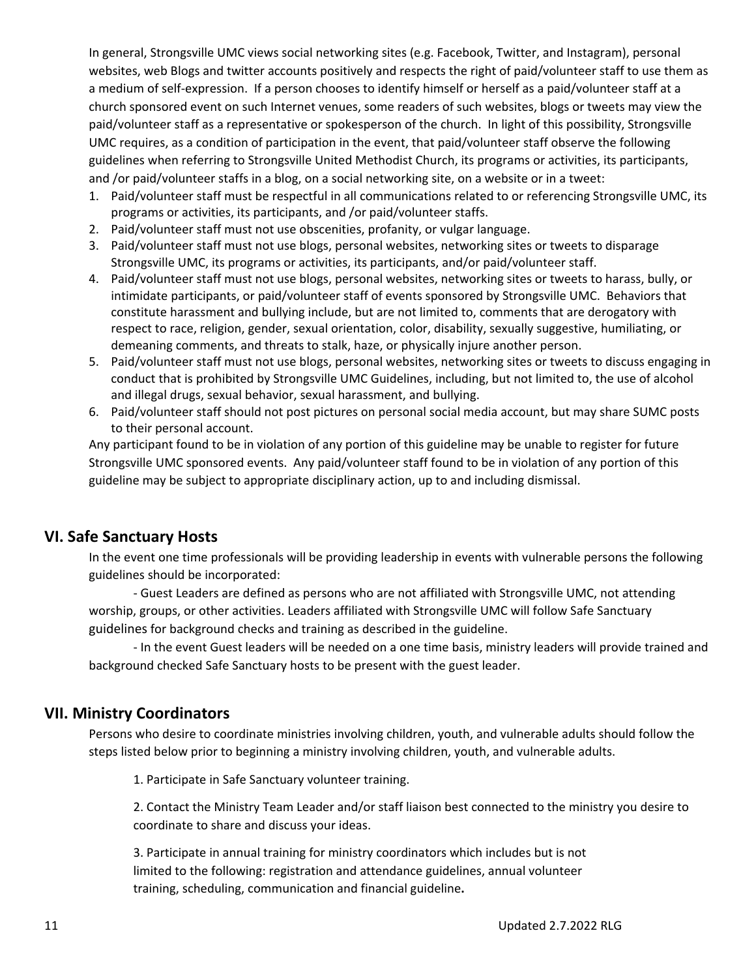In general, Strongsville UMC views social networking sites (e.g. Facebook, Twitter, and Instagram), personal websites, web Blogs and twitter accounts positively and respects the right of paid/volunteer staff to use them as a medium of self‐expression. If a person chooses to identify himself or herself as a paid/volunteer staff at a church sponsored event on such Internet venues, some readers of such websites, blogs or tweets may view the paid/volunteer staff as a representative or spokesperson of the church. In light of this possibility, Strongsville UMC requires, as a condition of participation in the event, that paid/volunteer staff observe the following guidelines when referring to Strongsville United Methodist Church, its programs or activities, its participants, and /or paid/volunteer staffs in a blog, on a social networking site, on a website or in a tweet:

- 1. Paid/volunteer staff must be respectful in all communications related to or referencing Strongsville UMC, its programs or activities, its participants, and /or paid/volunteer staffs.
- 2. Paid/volunteer staff must not use obscenities, profanity, or vulgar language.
- 3. Paid/volunteer staff must not use blogs, personal websites, networking sites or tweets to disparage Strongsville UMC, its programs or activities, its participants, and/or paid/volunteer staff.
- 4. Paid/volunteer staff must not use blogs, personal websites, networking sites or tweets to harass, bully, or intimidate participants, or paid/volunteer staff of events sponsored by Strongsville UMC. Behaviors that constitute harassment and bullying include, but are not limited to, comments that are derogatory with respect to race, religion, gender, sexual orientation, color, disability, sexually suggestive, humiliating, or demeaning comments, and threats to stalk, haze, or physically injure another person.
- 5. Paid/volunteer staff must not use blogs, personal websites, networking sites or tweets to discuss engaging in conduct that is prohibited by Strongsville UMC Guidelines, including, but not limited to, the use of alcohol and illegal drugs, sexual behavior, sexual harassment, and bullying.
- 6. Paid/volunteer staff should not post pictures on personal social media account, but may share SUMC posts to their personal account.

Any participant found to be in violation of any portion of this guideline may be unable to register for future Strongsville UMC sponsored events. Any paid/volunteer staff found to be in violation of any portion of this guideline may be subject to appropriate disciplinary action, up to and including dismissal.

### **VI. Safe Sanctuary Hosts**

In the event one time professionals will be providing leadership in events with vulnerable persons the following guidelines should be incorporated:

 ‐ Guest Leaders are defined as persons who are not affiliated with Strongsville UMC, not attending worship, groups, or other activities. Leaders affiliated with Strongsville UMC will follow Safe Sanctuary guidelines for background checks and training as described in the guideline.

 ‐ In the event Guest leaders will be needed on a one time basis, ministry leaders will provide trained and background checked Safe Sanctuary hosts to be present with the guest leader.

### **VII. Ministry Coordinators**

Persons who desire to coordinate ministries involving children, youth, and vulnerable adults should follow the steps listed below prior to beginning a ministry involving children, youth, and vulnerable adults.

1. Participate in Safe Sanctuary volunteer training.

2. Contact the Ministry Team Leader and/or staff liaison best connected to the ministry you desire to coordinate to share and discuss your ideas.

 3. Participate in annual training for ministry coordinators which includes but is not limited to the following: registration and attendance guidelines, annual volunteer training, scheduling, communication and financial guideline**.**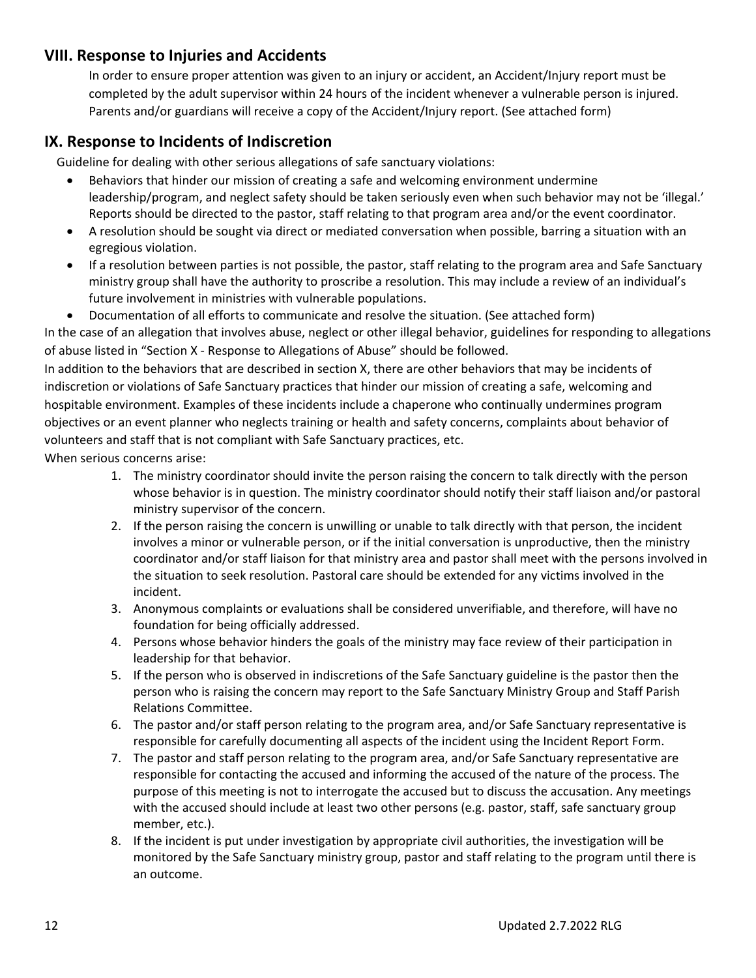### **VIII. Response to Injuries and Accidents**

In order to ensure proper attention was given to an injury or accident, an Accident/Injury report must be completed by the adult supervisor within 24 hours of the incident whenever a vulnerable person is injured. Parents and/or guardians will receive a copy of the Accident/Injury report. (See attached form)

### **IX. Response to Incidents of Indiscretion**

Guideline for dealing with other serious allegations of safe sanctuary violations:

- Behaviors that hinder our mission of creating a safe and welcoming environment undermine leadership/program, and neglect safety should be taken seriously even when such behavior may not be 'illegal.' Reports should be directed to the pastor, staff relating to that program area and/or the event coordinator.
- A resolution should be sought via direct or mediated conversation when possible, barring a situation with an egregious violation.
- If a resolution between parties is not possible, the pastor, staff relating to the program area and Safe Sanctuary ministry group shall have the authority to proscribe a resolution. This may include a review of an individual's future involvement in ministries with vulnerable populations.
- Documentation of all efforts to communicate and resolve the situation. (See attached form)

In the case of an allegation that involves abuse, neglect or other illegal behavior, guidelines for responding to allegations of abuse listed in "Section X ‐ Response to Allegations of Abuse" should be followed.

In addition to the behaviors that are described in section X, there are other behaviors that may be incidents of indiscretion or violations of Safe Sanctuary practices that hinder our mission of creating a safe, welcoming and hospitable environment. Examples of these incidents include a chaperone who continually undermines program objectives or an event planner who neglects training or health and safety concerns, complaints about behavior of volunteers and staff that is not compliant with Safe Sanctuary practices, etc.

When serious concerns arise:

- 1. The ministry coordinator should invite the person raising the concern to talk directly with the person whose behavior is in question. The ministry coordinator should notify their staff liaison and/or pastoral ministry supervisor of the concern.
- 2. If the person raising the concern is unwilling or unable to talk directly with that person, the incident involves a minor or vulnerable person, or if the initial conversation is unproductive, then the ministry coordinator and/or staff liaison for that ministry area and pastor shall meet with the persons involved in the situation to seek resolution. Pastoral care should be extended for any victims involved in the incident.
- 3. Anonymous complaints or evaluations shall be considered unverifiable, and therefore, will have no foundation for being officially addressed.
- 4. Persons whose behavior hinders the goals of the ministry may face review of their participation in leadership for that behavior.
- 5. If the person who is observed in indiscretions of the Safe Sanctuary guideline is the pastor then the person who is raising the concern may report to the Safe Sanctuary Ministry Group and Staff Parish Relations Committee.
- 6. The pastor and/or staff person relating to the program area, and/or Safe Sanctuary representative is responsible for carefully documenting all aspects of the incident using the Incident Report Form.
- 7. The pastor and staff person relating to the program area, and/or Safe Sanctuary representative are responsible for contacting the accused and informing the accused of the nature of the process. The purpose of this meeting is not to interrogate the accused but to discuss the accusation. Any meetings with the accused should include at least two other persons (e.g. pastor, staff, safe sanctuary group member, etc.).
- 8. If the incident is put under investigation by appropriate civil authorities, the investigation will be monitored by the Safe Sanctuary ministry group, pastor and staff relating to the program until there is an outcome.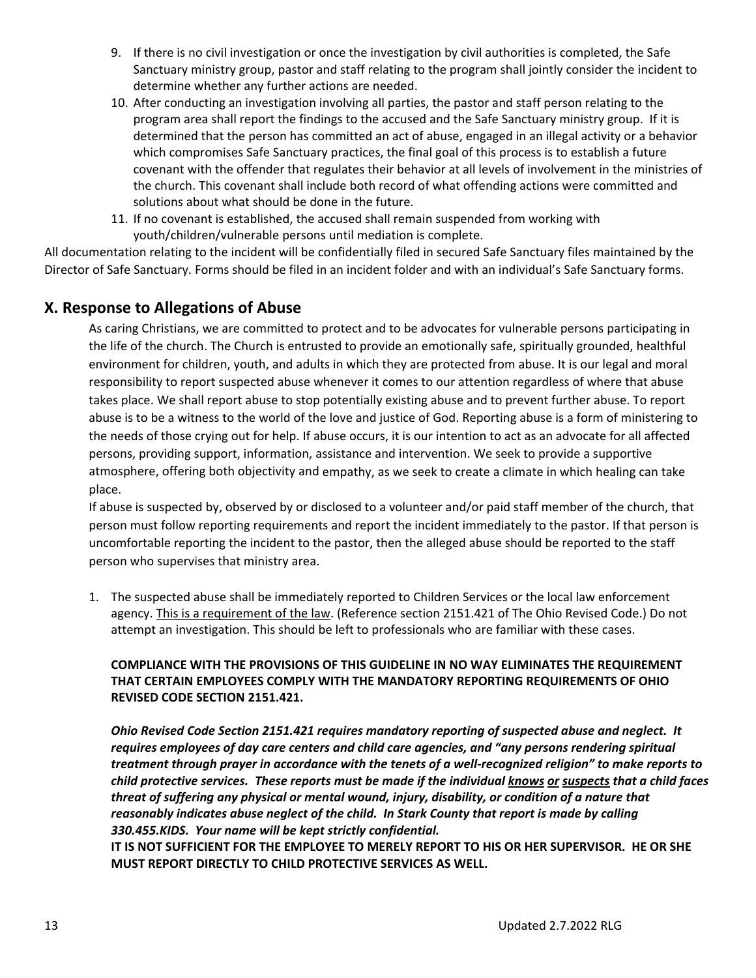- 9. If there is no civil investigation or once the investigation by civil authorities is completed, the Safe Sanctuary ministry group, pastor and staff relating to the program shall jointly consider the incident to determine whether any further actions are needed.
- 10. After conducting an investigation involving all parties, the pastor and staff person relating to the program area shall report the findings to the accused and the Safe Sanctuary ministry group. If it is determined that the person has committed an act of abuse, engaged in an illegal activity or a behavior which compromises Safe Sanctuary practices, the final goal of this process is to establish a future covenant with the offender that regulates their behavior at all levels of involvement in the ministries of the church. This covenant shall include both record of what offending actions were committed and solutions about what should be done in the future.
- 11. If no covenant is established, the accused shall remain suspended from working with youth/children/vulnerable persons until mediation is complete.

All documentation relating to the incident will be confidentially filed in secured Safe Sanctuary files maintained by the Director of Safe Sanctuary. Forms should be filed in an incident folder and with an individual's Safe Sanctuary forms.

### **X. Response to Allegations of Abuse**

As caring Christians, we are committed to protect and to be advocates for vulnerable persons participating in the life of the church. The Church is entrusted to provide an emotionally safe, spiritually grounded, healthful environment for children, youth, and adults in which they are protected from abuse. It is our legal and moral responsibility to report suspected abuse whenever it comes to our attention regardless of where that abuse takes place. We shall report abuse to stop potentially existing abuse and to prevent further abuse. To report abuse is to be a witness to the world of the love and justice of God. Reporting abuse is a form of ministering to the needs of those crying out for help. If abuse occurs, it is our intention to act as an advocate for all affected persons, providing support, information, assistance and intervention. We seek to provide a supportive atmosphere, offering both objectivity and empathy, as we seek to create a climate in which healing can take place.

If abuse is suspected by, observed by or disclosed to a volunteer and/or paid staff member of the church, that person must follow reporting requirements and report the incident immediately to the pastor. If that person is uncomfortable reporting the incident to the pastor, then the alleged abuse should be reported to the staff person who supervises that ministry area.

1. The suspected abuse shall be immediately reported to Children Services or the local law enforcement agency. This is a requirement of the law. (Reference section 2151.421 of The Ohio Revised Code.) Do not attempt an investigation. This should be left to professionals who are familiar with these cases.

### **COMPLIANCE WITH THE PROVISIONS OF THIS GUIDELINE IN NO WAY ELIMINATES THE REQUIREMENT THAT CERTAIN EMPLOYEES COMPLY WITH THE MANDATORY REPORTING REQUIREMENTS OF OHIO REVISED CODE SECTION 2151.421.**

*Ohio Revised Code Section 2151.421 requires mandatory reporting of suspected abuse and neglect. It requires employees of day care centers and child care agencies, and "any persons rendering spiritual* treatment through prayer in accordance with the tenets of a well-recognized religion" to make reports to child protective services. These reports must be made if the individual knows or suspects that a child faces *threat of suffering any physical or mental wound, injury, disability, or condition of a nature that reasonably indicates abuse neglect of the child. In Stark County that report is made by calling 330.455.KIDS. Your name will be kept strictly confidential.*

**IT IS NOT SUFFICIENT FOR THE EMPLOYEE TO MERELY REPORT TO HIS OR HER SUPERVISOR. HE OR SHE MUST REPORT DIRECTLY TO CHILD PROTECTIVE SERVICES AS WELL.**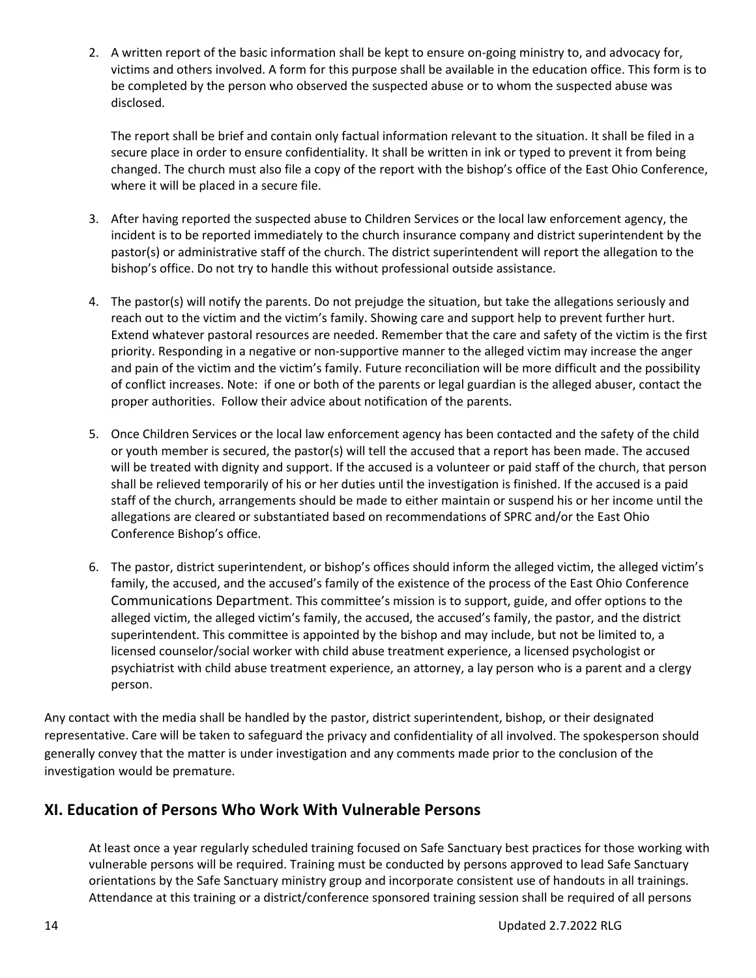2. A written report of the basic information shall be kept to ensure on-going ministry to, and advocacy for, victims and others involved. A form for this purpose shall be available in the education office. This form is to be completed by the person who observed the suspected abuse or to whom the suspected abuse was disclosed.

The report shall be brief and contain only factual information relevant to the situation. It shall be filed in a secure place in order to ensure confidentiality. It shall be written in ink or typed to prevent it from being changed. The church must also file a copy of the report with the bishop's office of the East Ohio Conference, where it will be placed in a secure file.

- 3. After having reported the suspected abuse to Children Services or the local law enforcement agency, the incident is to be reported immediately to the church insurance company and district superintendent by the pastor(s) or administrative staff of the church. The district superintendent will report the allegation to the bishop's office. Do not try to handle this without professional outside assistance.
- 4. The pastor(s) will notify the parents. Do not prejudge the situation, but take the allegations seriously and reach out to the victim and the victim's family. Showing care and support help to prevent further hurt. Extend whatever pastoral resources are needed. Remember that the care and safety of the victim is the first priority. Responding in a negative or non‐supportive manner to the alleged victim may increase the anger and pain of the victim and the victim's family. Future reconciliation will be more difficult and the possibility of conflict increases. Note: if one or both of the parents or legal guardian is the alleged abuser, contact the proper authorities. Follow their advice about notification of the parents.
- 5. Once Children Services or the local law enforcement agency has been contacted and the safety of the child or youth member is secured, the pastor(s) will tell the accused that a report has been made. The accused will be treated with dignity and support. If the accused is a volunteer or paid staff of the church, that person shall be relieved temporarily of his or her duties until the investigation is finished. If the accused is a paid staff of the church, arrangements should be made to either maintain or suspend his or her income until the allegations are cleared or substantiated based on recommendations of SPRC and/or the East Ohio Conference Bishop's office.
- 6. The pastor, district superintendent, or bishop's offices should inform the alleged victim, the alleged victim's family, the accused, and the accused's family of the existence of the process of the East Ohio Conference Communications Department. This committee's mission is to support, guide, and offer options to the alleged victim, the alleged victim's family, the accused, the accused's family, the pastor, and the district superintendent. This committee is appointed by the bishop and may include, but not be limited to, a licensed counselor/social worker with child abuse treatment experience, a licensed psychologist or psychiatrist with child abuse treatment experience, an attorney, a lay person who is a parent and a clergy person.

Any contact with the media shall be handled by the pastor, district superintendent, bishop, or their designated representative. Care will be taken to safeguard the privacy and confidentiality of all involved. The spokesperson should generally convey that the matter is under investigation and any comments made prior to the conclusion of the investigation would be premature.

### **XI. Education of Persons Who Work With Vulnerable Persons**

At least once a year regularly scheduled training focused on Safe Sanctuary best practices for those working with vulnerable persons will be required. Training must be conducted by persons approved to lead Safe Sanctuary orientations by the Safe Sanctuary ministry group and incorporate consistent use of handouts in all trainings. Attendance at this training or a district/conference sponsored training session shall be required of all persons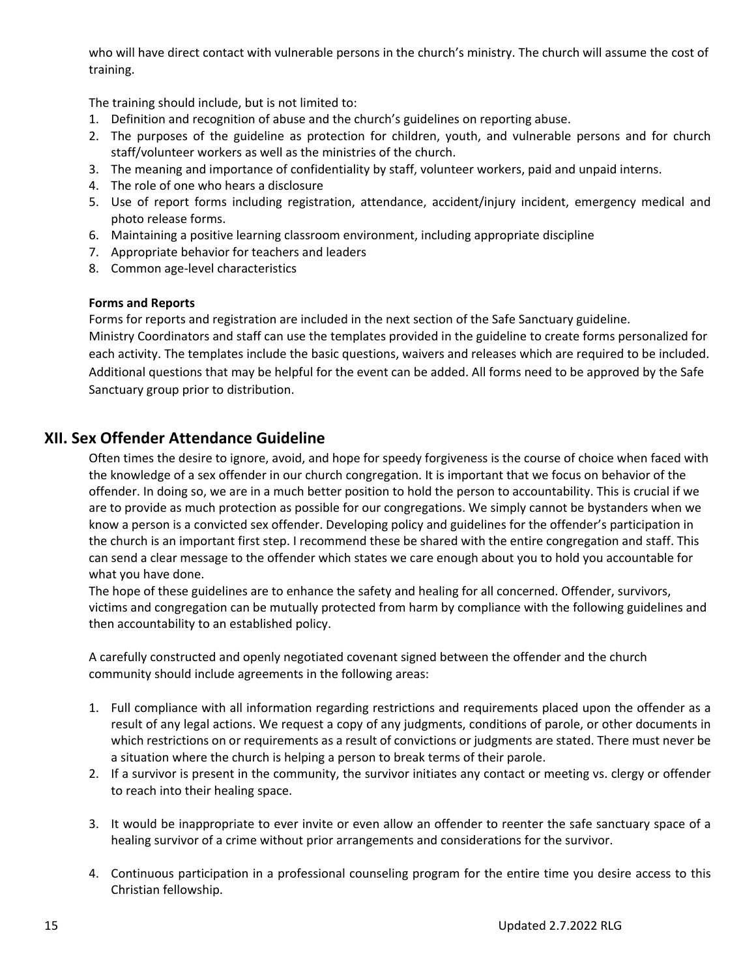who will have direct contact with vulnerable persons in the church's ministry. The church will assume the cost of training.

The training should include, but is not limited to:

- 1. Definition and recognition of abuse and the church's guidelines on reporting abuse.
- 2. The purposes of the guideline as protection for children, youth, and vulnerable persons and for church staff/volunteer workers as well as the ministries of the church.
- 3. The meaning and importance of confidentiality by staff, volunteer workers, paid and unpaid interns.
- 4. The role of one who hears a disclosure
- 5. Use of report forms including registration, attendance, accident/injury incident, emergency medical and photo release forms.
- 6. Maintaining a positive learning classroom environment, including appropriate discipline
- 7. Appropriate behavior for teachers and leaders
- 8. Common age‐level characteristics

#### **Forms and Reports**

Forms for reports and registration are included in the next section of the Safe Sanctuary guideline. Ministry Coordinators and staff can use the templates provided in the guideline to create forms personalized for each activity. The templates include the basic questions, waivers and releases which are required to be included. Additional questions that may be helpful for the event can be added. All forms need to be approved by the Safe Sanctuary group prior to distribution.

### **XII. Sex Offender Attendance Guideline**

Often times the desire to ignore, avoid, and hope for speedy forgiveness is the course of choice when faced with the knowledge of a sex offender in our church congregation. It is important that we focus on behavior of the offender. In doing so, we are in a much better position to hold the person to accountability. This is crucial if we are to provide as much protection as possible for our congregations. We simply cannot be bystanders when we know a person is a convicted sex offender. Developing policy and guidelines for the offender's participation in the church is an important first step. I recommend these be shared with the entire congregation and staff. This can send a clear message to the offender which states we care enough about you to hold you accountable for what you have done.

The hope of these guidelines are to enhance the safety and healing for all concerned. Offender, survivors, victims and congregation can be mutually protected from harm by compliance with the following guidelines and then accountability to an established policy.

A carefully constructed and openly negotiated covenant signed between the offender and the church community should include agreements in the following areas:

- 1. Full compliance with all information regarding restrictions and requirements placed upon the offender as a result of any legal actions. We request a copy of any judgments, conditions of parole, or other documents in which restrictions on or requirements as a result of convictions or judgments are stated. There must never be a situation where the church is helping a person to break terms of their parole.
- 2. If a survivor is present in the community, the survivor initiates any contact or meeting vs. clergy or offender to reach into their healing space.
- 3. It would be inappropriate to ever invite or even allow an offender to reenter the safe sanctuary space of a healing survivor of a crime without prior arrangements and considerations for the survivor.
- 4. Continuous participation in a professional counseling program for the entire time you desire access to this Christian fellowship.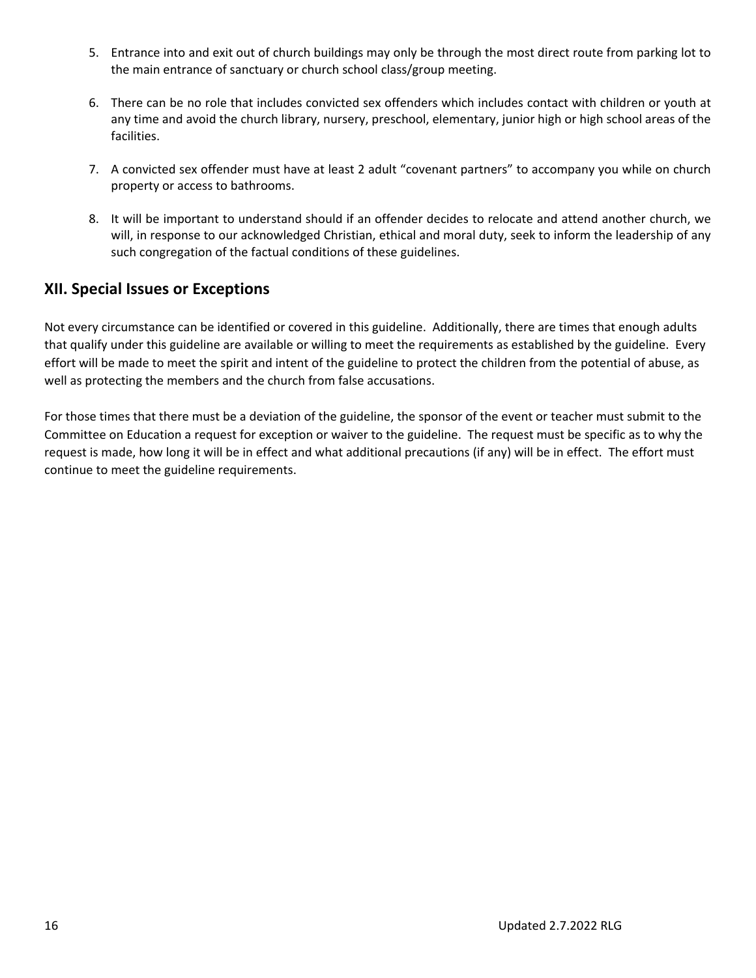- 5. Entrance into and exit out of church buildings may only be through the most direct route from parking lot to the main entrance of sanctuary or church school class/group meeting.
- 6. There can be no role that includes convicted sex offenders which includes contact with children or youth at any time and avoid the church library, nursery, preschool, elementary, junior high or high school areas of the facilities.
- 7. A convicted sex offender must have at least 2 adult "covenant partners" to accompany you while on church property or access to bathrooms.
- 8. It will be important to understand should if an offender decides to relocate and attend another church, we will, in response to our acknowledged Christian, ethical and moral duty, seek to inform the leadership of any such congregation of the factual conditions of these guidelines.

### **XII. Special Issues or Exceptions**

Not every circumstance can be identified or covered in this guideline. Additionally, there are times that enough adults that qualify under this guideline are available or willing to meet the requirements as established by the guideline. Every effort will be made to meet the spirit and intent of the guideline to protect the children from the potential of abuse, as well as protecting the members and the church from false accusations.

For those times that there must be a deviation of the guideline, the sponsor of the event or teacher must submit to the Committee on Education a request for exception or waiver to the guideline. The request must be specific as to why the request is made, how long it will be in effect and what additional precautions (if any) will be in effect. The effort must continue to meet the guideline requirements.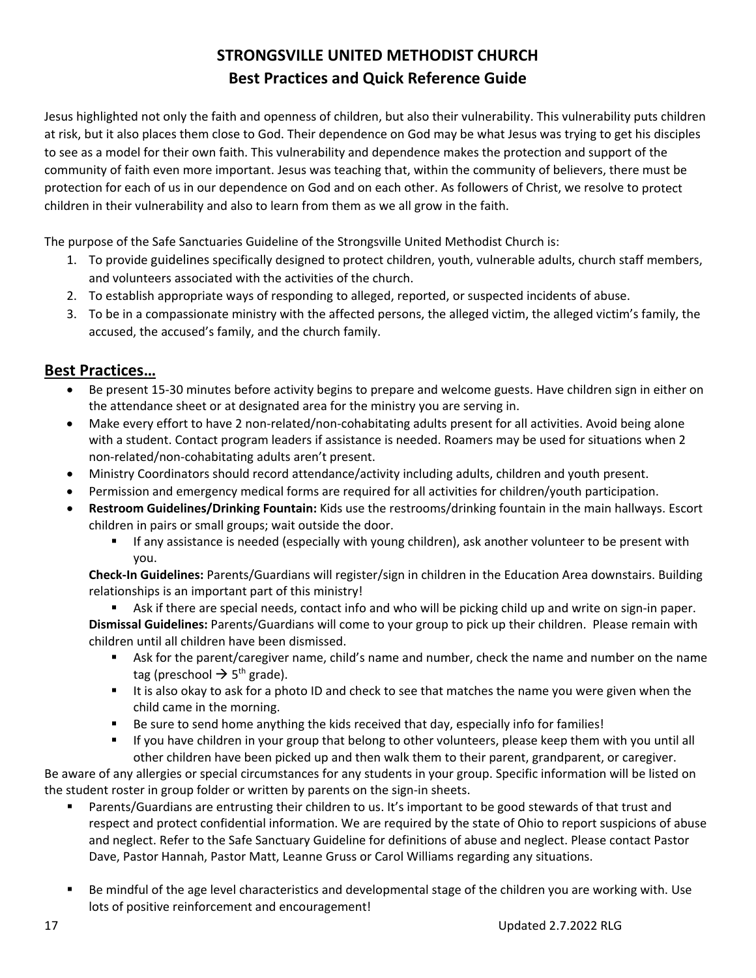## **STRONGSVILLE UNITED METHODIST CHURCH Best Practices and Quick Reference Guide**

Jesus highlighted not only the faith and openness of children, but also their vulnerability. This vulnerability puts children at risk, but it also places them close to God. Their dependence on God may be what Jesus was trying to get his disciples to see as a model for their own faith. This vulnerability and dependence makes the protection and support of the community of faith even more important. Jesus was teaching that, within the community of believers, there must be protection for each of us in our dependence on God and on each other. As followers of Christ, we resolve to protect children in their vulnerability and also to learn from them as we all grow in the faith.

The purpose of the Safe Sanctuaries Guideline of the Strongsville United Methodist Church is:

- 1. To provide guidelines specifically designed to protect children, youth, vulnerable adults, church staff members, and volunteers associated with the activities of the church.
- 2. To establish appropriate ways of responding to alleged, reported, or suspected incidents of abuse.
- 3. To be in a compassionate ministry with the affected persons, the alleged victim, the alleged victim's family, the accused, the accused's family, and the church family.

### **Best Practices…**

- Be present 15-30 minutes before activity begins to prepare and welcome guests. Have children sign in either on the attendance sheet or at designated area for the ministry you are serving in.
- Make every effort to have 2 non-related/non-cohabitating adults present for all activities. Avoid being alone with a student. Contact program leaders if assistance is needed. Roamers may be used for situations when 2 non‐related/non‐cohabitating adults aren't present.
- Ministry Coordinators should record attendance/activity including adults, children and youth present.
- Permission and emergency medical forms are required for all activities for children/youth participation.
- **Restroom Guidelines/Drinking Fountain:** Kids use the restrooms/drinking fountain in the main hallways. Escort children in pairs or small groups; wait outside the door.
	- **If any assistance is needed (especially with young children), ask another volunteer to be present with** you.

**Check‐In Guidelines:** Parents/Guardians will register/sign in children in the Education Area downstairs. Building relationships is an important part of this ministry!

■ Ask if there are special needs, contact info and who will be picking child up and write on sign-in paper.

**Dismissal Guidelines:** Parents/Guardians will come to your group to pick up their children. Please remain with children until all children have been dismissed.

- Ask for the parent/caregiver name, child's name and number, check the name and number on the name tag (preschool  $\rightarrow$  5<sup>th</sup> grade).
- If is also okay to ask for a photo ID and check to see that matches the name you were given when the child came in the morning.
- Be sure to send home anything the kids received that day, especially info for families!
- If you have children in your group that belong to other volunteers, please keep them with you until all other children have been picked up and then walk them to their parent, grandparent, or caregiver.

Be aware of any allergies or special circumstances for any students in your group. Specific information will be listed on the student roster in group folder or written by parents on the sign-in sheets.

- Parents/Guardians are entrusting their children to us. It's important to be good stewards of that trust and respect and protect confidential information. We are required by the state of Ohio to report suspicions of abuse and neglect. Refer to the Safe Sanctuary Guideline for definitions of abuse and neglect. Please contact Pastor Dave, Pastor Hannah, Pastor Matt, Leanne Gruss or Carol Williams regarding any situations.
- Be mindful of the age level characteristics and developmental stage of the children you are working with. Use lots of positive reinforcement and encouragement!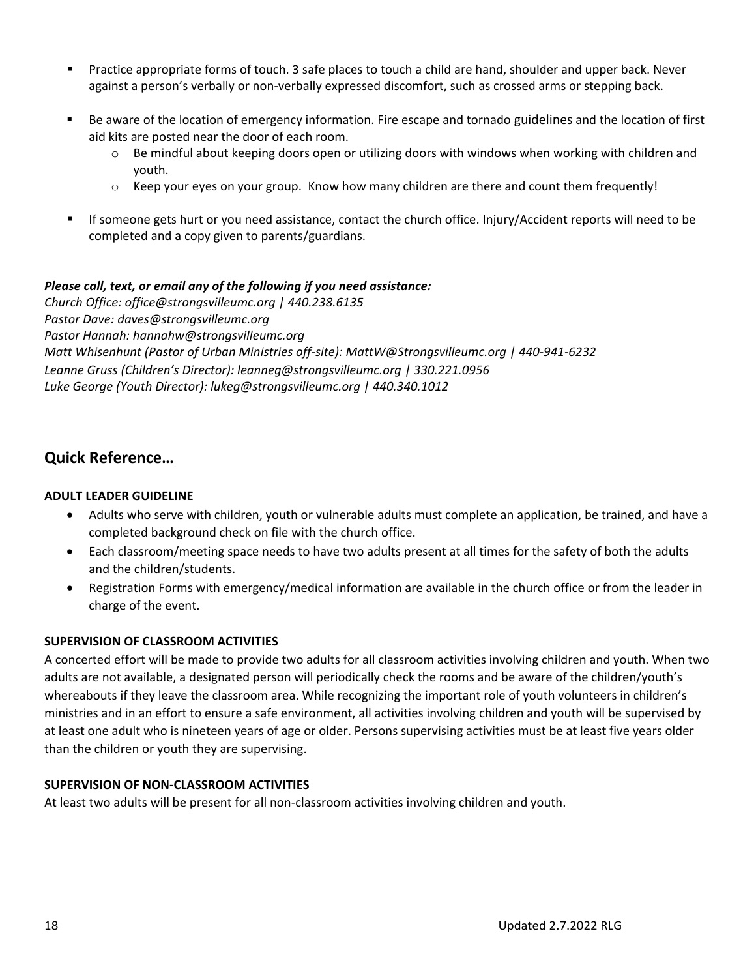- Practice appropriate forms of touch. 3 safe places to touch a child are hand, shoulder and upper back. Never against a person's verbally or non‐verbally expressed discomfort, such as crossed arms or stepping back.
- Be aware of the location of emergency information. Fire escape and tornado guidelines and the location of first aid kits are posted near the door of each room.
	- $\circ$  Be mindful about keeping doors open or utilizing doors with windows when working with children and youth.
	- $\circ$  Keep your eyes on your group. Know how many children are there and count them frequently!
- If someone gets hurt or you need assistance, contact the church office. Injury/Accident reports will need to be completed and a copy given to parents/guardians.

### *Please call, text, or email any of the following if you need assistance:*

*Church Office: office@strongsvilleumc.org | 440.238.6135 Pastor Dave: daves@strongsvilleumc.org Pastor Hannah: hannahw@strongsvilleumc.org Matt Whisenhunt (Pastor of Urban Ministries off‐site): MattW@Strongsvilleumc.org | 440‐941‐6232 Leanne Gruss (Children's Director): leanneg@strongsvilleumc.org | 330.221.0956 Luke George (Youth Director): lukeg@strongsvilleumc.org | 440.340.1012*

### **Quick Reference…**

### **ADULT LEADER GUIDELINE**

- Adults who serve with children, youth or vulnerable adults must complete an application, be trained, and have a completed background check on file with the church office.
- Each classroom/meeting space needs to have two adults present at all times for the safety of both the adults and the children/students.
- Registration Forms with emergency/medical information are available in the church office or from the leader in charge of the event.

#### **SUPERVISION OF CLASSROOM ACTIVITIES**

A concerted effort will be made to provide two adults for all classroom activities involving children and youth. When two adults are not available, a designated person will periodically check the rooms and be aware of the children/youth's whereabouts if they leave the classroom area. While recognizing the important role of youth volunteers in children's ministries and in an effort to ensure a safe environment, all activities involving children and youth will be supervised by at least one adult who is nineteen years of age or older. Persons supervising activities must be at least five years older than the children or youth they are supervising.

#### **SUPERVISION OF NON‐CLASSROOM ACTIVITIES**

At least two adults will be present for all non‐classroom activities involving children and youth.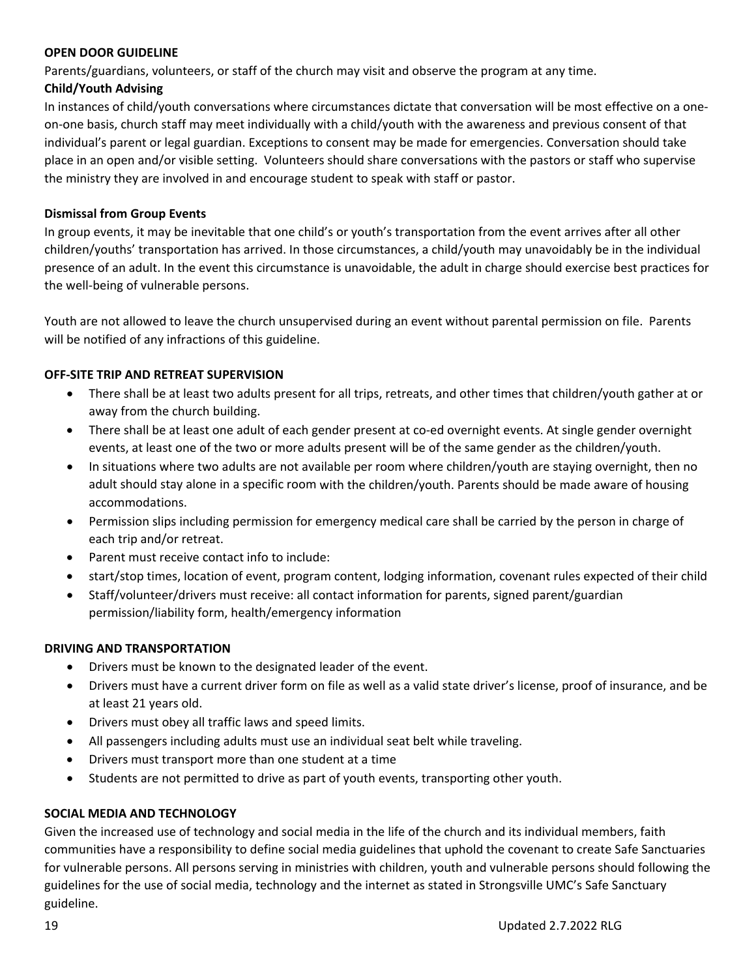#### **OPEN DOOR GUIDELINE**

Parents/guardians, volunteers, or staff of the church may visit and observe the program at any time.

### **Child/Youth Advising**

In instances of child/youth conversations where circumstances dictate that conversation will be most effective on a one‐ on‐one basis, church staff may meet individually with a child/youth with the awareness and previous consent of that individual's parent or legal guardian. Exceptions to consent may be made for emergencies. Conversation should take place in an open and/or visible setting. Volunteers should share conversations with the pastors or staff who supervise the ministry they are involved in and encourage student to speak with staff or pastor.

### **Dismissal from Group Events**

In group events, it may be inevitable that one child's or youth's transportation from the event arrives after all other children/youths' transportation has arrived. In those circumstances, a child/youth may unavoidably be in the individual presence of an adult. In the event this circumstance is unavoidable, the adult in charge should exercise best practices for the well‐being of vulnerable persons.

Youth are not allowed to leave the church unsupervised during an event without parental permission on file. Parents will be notified of any infractions of this guideline.

### **OFF‐SITE TRIP AND RETREAT SUPERVISION**

- There shall be at least two adults present for all trips, retreats, and other times that children/youth gather at or away from the church building.
- There shall be at least one adult of each gender present at co-ed overnight events. At single gender overnight events, at least one of the two or more adults present will be of the same gender as the children/youth.
- In situations where two adults are not available per room where children/youth are staying overnight, then no adult should stay alone in a specific room with the children/youth. Parents should be made aware of housing accommodations.
- Permission slips including permission for emergency medical care shall be carried by the person in charge of each trip and/or retreat.
- Parent must receive contact info to include:
- start/stop times, location of event, program content, lodging information, covenant rules expected of their child
- Staff/volunteer/drivers must receive: all contact information for parents, signed parent/guardian permission/liability form, health/emergency information

#### **DRIVING AND TRANSPORTATION**

- Drivers must be known to the designated leader of the event.
- Drivers must have a current driver form on file as well as a valid state driver's license, proof of insurance, and be at least 21 years old.
- Drivers must obey all traffic laws and speed limits.
- All passengers including adults must use an individual seat belt while traveling.
- Drivers must transport more than one student at a time
- Students are not permitted to drive as part of youth events, transporting other youth.

### **SOCIAL MEDIA AND TECHNOLOGY**

Given the increased use of technology and social media in the life of the church and its individual members, faith communities have a responsibility to define social media guidelines that uphold the covenant to create Safe Sanctuaries for vulnerable persons. All persons serving in ministries with children, youth and vulnerable persons should following the guidelines for the use of social media, technology and the internet as stated in Strongsville UMC's Safe Sanctuary guideline.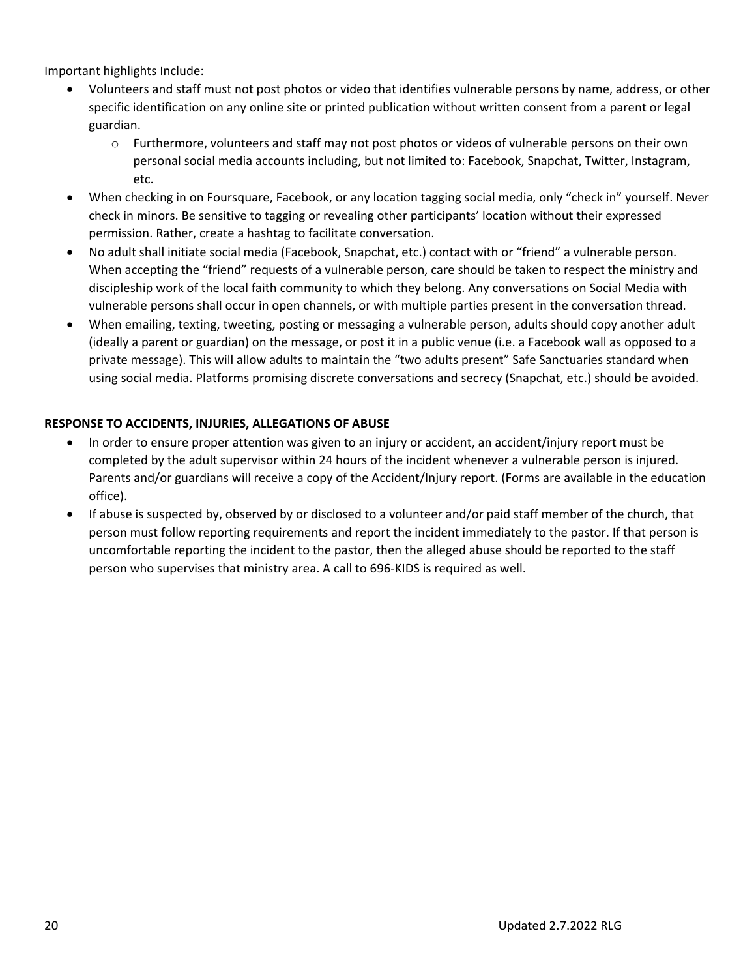Important highlights Include:

- Volunteers and staff must not post photos or video that identifies vulnerable persons by name, address, or other specific identification on any online site or printed publication without written consent from a parent or legal guardian.
	- o Furthermore, volunteers and staff may not post photos or videos of vulnerable persons on their own personal social media accounts including, but not limited to: Facebook, Snapchat, Twitter, Instagram, etc.
- When checking in on Foursquare, Facebook, or any location tagging social media, only "check in" yourself. Never check in minors. Be sensitive to tagging or revealing other participants' location without their expressed permission. Rather, create a hashtag to facilitate conversation.
- No adult shall initiate social media (Facebook, Snapchat, etc.) contact with or "friend" a vulnerable person. When accepting the "friend" requests of a vulnerable person, care should be taken to respect the ministry and discipleship work of the local faith community to which they belong. Any conversations on Social Media with vulnerable persons shall occur in open channels, or with multiple parties present in the conversation thread.
- When emailing, texting, tweeting, posting or messaging a vulnerable person, adults should copy another adult (ideally a parent or guardian) on the message, or post it in a public venue (i.e. a Facebook wall as opposed to a private message). This will allow adults to maintain the "two adults present" Safe Sanctuaries standard when using social media. Platforms promising discrete conversations and secrecy (Snapchat, etc.) should be avoided.

### **RESPONSE TO ACCIDENTS, INJURIES, ALLEGATIONS OF ABUSE**

- In order to ensure proper attention was given to an injury or accident, an accident/injury report must be completed by the adult supervisor within 24 hours of the incident whenever a vulnerable person is injured. Parents and/or guardians will receive a copy of the Accident/Injury report. (Forms are available in the education office).
- If abuse is suspected by, observed by or disclosed to a volunteer and/or paid staff member of the church, that person must follow reporting requirements and report the incident immediately to the pastor. If that person is uncomfortable reporting the incident to the pastor, then the alleged abuse should be reported to the staff person who supervises that ministry area. A call to 696‐KIDS is required as well.